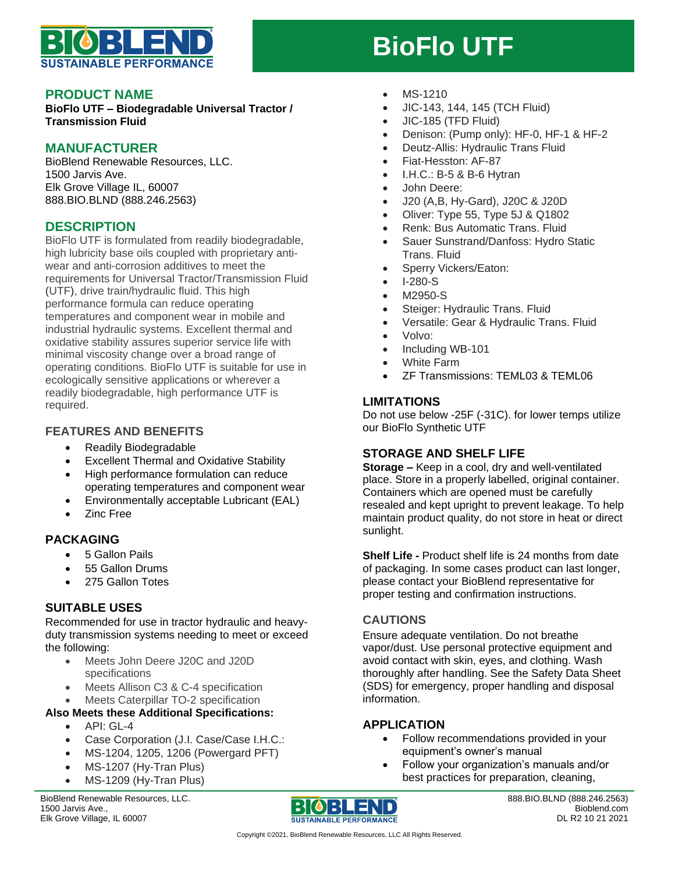

# **BioFlo UTF**

#### **PRODUCT NAME**

**BioFlo UTF – Biodegradable Universal Tractor / Transmission Fluid**

# **MANUFACTURER**

BioBlend Renewable Resources, LLC. 1500 Jarvis Ave. Elk Grove Village IL, 60007 888.BIO.BLND (888.246.2563)

# **DESCRIPTION**

BioFlo UTF is formulated from readily biodegradable, high lubricity base oils coupled with proprietary antiwear and anti-corrosion additives to meet the requirements for Universal Tractor/Transmission Fluid (UTF), drive train/hydraulic fluid. This high performance formula can reduce operating temperatures and component wear in mobile and industrial hydraulic systems. Excellent thermal and oxidative stability assures superior service life with minimal viscosity change over a broad range of operating conditions. BioFlo UTF is suitable for use in ecologically sensitive applications or wherever a readily biodegradable, high performance UTF is required.

# **FEATURES AND BENEFITS**

- Readily Biodegradable
- Excellent Thermal and Oxidative Stability
- High performance formulation can reduce operating temperatures and component wear
- Environmentally acceptable Lubricant (EAL)
- Zinc Free

## **PACKAGING**

- 5 Gallon Pails
- 55 Gallon Drums
- 275 Gallon Totes

## **SUITABLE USES**

Recommended for use in tractor hydraulic and heavyduty transmission systems needing to meet or exceed the following:

- Meets John Deere J20C and J20D specifications
- Meets Allison C3 & C-4 specification
- Meets Caterpillar TO-2 specification

#### **Also Meets these Additional Specifications:**

- $\bullet$  API $\cdot$  GL-4
- Case Corporation (J.I. Case/Case I.H.C.:
- MS-1204, 1205, 1206 (Powergard PFT)
- MS-1207 (Hy-Tran Plus)
- MS-1209 (Hy-Tran Plus)

BioBlend Renewable Resources, LLC. 1500 Jarvis Ave., Elk Grove Village, IL 60007



- JIC-143, 144, 145 (TCH Fluid)
- JIC-185 (TFD Fluid)
- Denison: (Pump only): HF-0, HF-1 & HF-2
- Deutz-Allis: Hydraulic Trans Fluid
- Fiat-Hesston: AF-87
- I.H.C.: B-5 & B-6 Hytran
- John Deere:
- J20 (A,B, Hy-Gard), J20C & J20D
- Oliver: Type 55, Type 5J & Q1802
- Renk: Bus Automatic Trans. Fluid
- Sauer Sunstrand/Danfoss: Hydro Static Trans. Fluid
- Sperry Vickers/Eaton:
- I-280-S
- M2950-S
- Steiger: Hydraulic Trans. Fluid
- Versatile: Gear & Hydraulic Trans. Fluid
- Volvo:
- Including WB-101
- White Farm
- ZF Transmissions: TEML03 & TEML06

#### **LIMITATIONS**

Do not use below -25F (-31C). for lower temps utilize our BioFlo Synthetic UTF

## **STORAGE AND SHELF LIFE**

**Storage –** Keep in a cool, dry and well-ventilated place. Store in a properly labelled, original container. Containers which are opened must be carefully resealed and kept upright to prevent leakage. To help maintain product quality, do not store in heat or direct sunlight.

**Shelf Life -** Product shelf life is 24 months from date of packaging. In some cases product can last longer, please contact your BioBlend representative for proper testing and confirmation instructions.

## **CAUTIONS**

Ensure adequate ventilation. Do not breathe vapor/dust. Use personal protective equipment and avoid contact with skin, eyes, and clothing. Wash thoroughly after handling. See the Safety Data Sheet (SDS) for emergency, proper handling and disposal information.

## **APPLICATION**

- Follow recommendations provided in your equipment's owner's manual
- Follow your organization's manuals and/or best practices for preparation, cleaning,